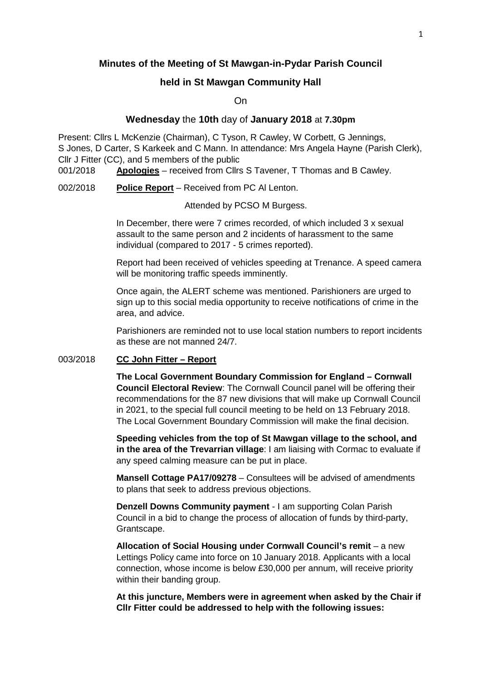# **Minutes of the Meeting of St Mawgan-in-Pydar Parish Council**

# **held in St Mawgan Community Hall**

On

## **Wednesday** the **10th** day of **January 2018** at **7.30pm**

Present: Cllrs L McKenzie (Chairman), C Tyson, R Cawley, W Corbett, G Jennings, S Jones, D Carter, S Karkeek and C Mann. In attendance: Mrs Angela Hayne (Parish Clerk), Cllr J Fitter (CC), and 5 members of the public

001/2018 **Apologies** – received from Cllrs S Tavener, T Thomas and B Cawley.

002/2018 **Police Report** – Received from PC Al Lenton.

Attended by PCSO M Burgess.

 In December, there were 7 crimes recorded, of which included 3 x sexual assault to the same person and 2 incidents of harassment to the same individual (compared to 2017 - 5 crimes reported).

 Report had been received of vehicles speeding at Trenance. A speed camera will be monitoring traffic speeds imminently.

 Once again, the ALERT scheme was mentioned. Parishioners are urged to sign up to this social media opportunity to receive notifications of crime in the area, and advice.

 Parishioners are reminded not to use local station numbers to report incidents as these are not manned 24/7.

# 003/2018 **CC John Fitter – Report**

**The Local Government Boundary Commission for England – Cornwall Council Electoral Review**: The Cornwall Council panel will be offering their recommendations for the 87 new divisions that will make up Cornwall Council in 2021, to the special full council meeting to be held on 13 February 2018. The Local Government Boundary Commission will make the final decision.

**Speeding vehicles from the top of St Mawgan village to the school, and in the area of the Trevarrian village**: I am liaising with Cormac to evaluate if any speed calming measure can be put in place.

**Mansell Cottage PA17/09278** – Consultees will be advised of amendments to plans that seek to address previous objections.

**Denzell Downs Community payment** - I am supporting Colan Parish Council in a bid to change the process of allocation of funds by third-party, Grantscape.

**Allocation of Social Housing under Cornwall Council's remit** – a new Lettings Policy came into force on 10 January 2018. Applicants with a local connection, whose income is below £30,000 per annum, will receive priority within their banding group.

**At this juncture, Members were in agreement when asked by the Chair if Cllr Fitter could be addressed to help with the following issues:**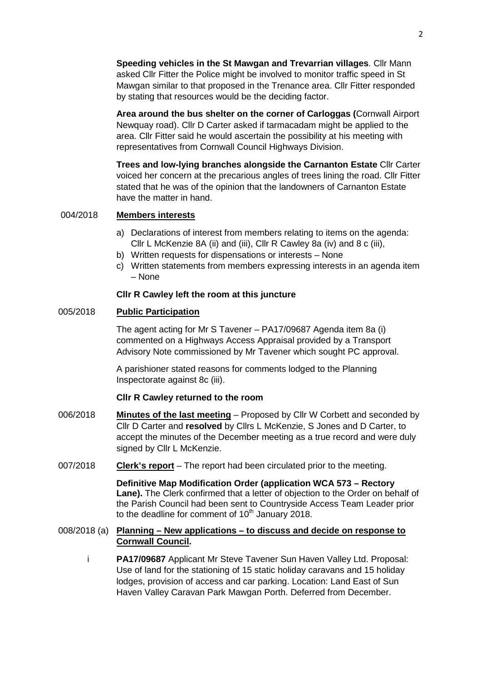**Speeding vehicles in the St Mawgan and Trevarrian villages**. Cllr Mann asked Cllr Fitter the Police might be involved to monitor traffic speed in St Mawgan similar to that proposed in the Trenance area. Cllr Fitter responded by stating that resources would be the deciding factor.

**Area around the bus shelter on the corner of Carloggas (**Cornwall Airport Newquay road). Cllr D Carter asked if tarmacadam might be applied to the area. Cllr Fitter said he would ascertain the possibility at his meeting with representatives from Cornwall Council Highways Division.

**Trees and low-lying branches alongside the Carnanton Estate** Cllr Carter voiced her concern at the precarious angles of trees lining the road. Cllr Fitter stated that he was of the opinion that the landowners of Carnanton Estate have the matter in hand.

# 004/2018 **Members interests**

- a) Declarations of interest from members relating to items on the agenda: Cllr L McKenzie 8A (ii) and (iii), Cllr R Cawley 8a (iv) and 8 c (iii),
- b) Written requests for dispensations or interests None
- c) Written statements from members expressing interests in an agenda item – None

### **Cllr R Cawley left the room at this juncture**

### 005/2018 **Public Participation**

 The agent acting for Mr S Tavener – PA17/09687 Agenda item 8a (i) commented on a Highways Access Appraisal provided by a Transport Advisory Note commissioned by Mr Tavener which sought PC approval.

 A parishioner stated reasons for comments lodged to the Planning Inspectorate against 8c (iii).

#### **Cllr R Cawley returned to the room**

- 006/2018 **Minutes of the last meeting** Proposed by Cllr W Corbett and seconded by Cllr D Carter and **resolved** by Cllrs L McKenzie, S Jones and D Carter, to accept the minutes of the December meeting as a true record and were duly signed by Cllr L McKenzie.
- 007/2018 **Clerk's report** The report had been circulated prior to the meeting.

 **Definitive Map Modification Order (application WCA 573 – Rectory Lane).** The Clerk confirmed that a letter of objection to the Order on behalf of the Parish Council had been sent to Countryside Access Team Leader prior to the deadline for comment of  $10<sup>th</sup>$  January 2018.

## 008/2018 (a) **Planning – New applications – to discuss and decide on response to Cornwall Council.**

 i **PA17/09687** Applicant Mr Steve Tavener Sun Haven Valley Ltd. Proposal: Use of land for the stationing of 15 static holiday caravans and 15 holiday lodges, provision of access and car parking. Location: Land East of Sun Haven Valley Caravan Park Mawgan Porth. Deferred from December.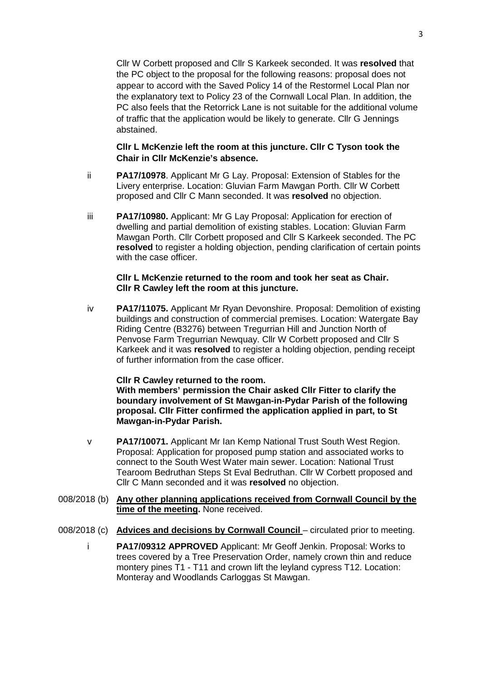Cllr W Corbett proposed and Cllr S Karkeek seconded. It was **resolved** that the PC object to the proposal for the following reasons: proposal does not appear to accord with the Saved Policy 14 of the Restormel Local Plan nor the explanatory text to Policy 23 of the Cornwall Local Plan. In addition, the PC also feels that the Retorrick Lane is not suitable for the additional volume of traffic that the application would be likely to generate. Cllr G Jennings abstained.

# **Cllr L McKenzie left the room at this juncture. Cllr C Tyson took the Chair in Cllr McKenzie's absence.**

- ii **PA17/10978**. Applicant Mr G Lay. Proposal: Extension of Stables for the Livery enterprise. Location: Gluvian Farm Mawgan Porth. Cllr W Corbett proposed and Cllr C Mann seconded. It was **resolved** no objection.
- iii **PA17/10980.** Applicant: Mr G Lay Proposal: Application for erection of dwelling and partial demolition of existing stables. Location: Gluvian Farm Mawgan Porth. Cllr Corbett proposed and Cllr S Karkeek seconded. The PC **resolved** to register a holding objection, pending clarification of certain points with the case officer.

#### **Cllr L McKenzie returned to the room and took her seat as Chair. Cllr R Cawley left the room at this juncture.**

iv **PA17/11075.** Applicant Mr Ryan Devonshire. Proposal: Demolition of existing buildings and construction of commercial premises. Location: Watergate Bay Riding Centre (B3276) between Tregurrian Hill and Junction North of Penvose Farm Tregurrian Newquay. Cllr W Corbett proposed and Cllr S Karkeek and it was **resolved** to register a holding objection, pending receipt of further information from the case officer.

#### **Cllr R Cawley returned to the room.**

 **With members' permission the Chair asked Cllr Fitter to clarify the boundary involvement of St Mawgan-in-Pydar Parish of the following proposal. Cllr Fitter confirmed the application applied in part, to St Mawgan-in-Pydar Parish.** 

- v **PA17/10071.** Applicant Mr Ian Kemp National Trust South West Region. Proposal: Application for proposed pump station and associated works to connect to the South West Water main sewer. Location: National Trust Tearoom Bedruthan Steps St Eval Bedruthan. Cllr W Corbett proposed and Cllr C Mann seconded and it was **resolved** no objection.
- 008/2018 (b) **Any other planning applications received from Cornwall Council by the time of the meeting.** None received.
- 008/2018 (c) **Advices and decisions by Cornwall Council** circulated prior to meeting.
	- i **PA17/09312 APPROVED** Applicant: Mr Geoff Jenkin. Proposal: Works to trees covered by a Tree Preservation Order, namely crown thin and reduce montery pines T1 - T11 and crown lift the leyland cypress T12. Location: Monteray and Woodlands Carloggas St Mawgan.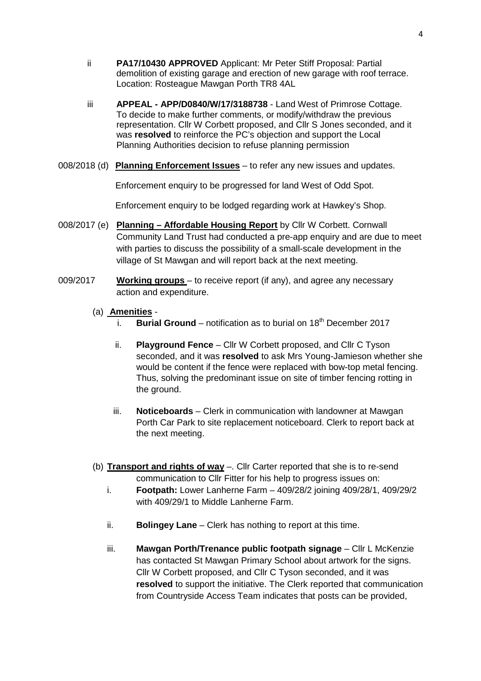- ii **PA17/10430 APPROVED** Applicant: Mr Peter Stiff Proposal: Partial demolition of existing garage and erection of new garage with roof terrace. Location: Rosteague Mawgan Porth TR8 4AL
- iii **APPEAL APP/D0840/W/17/3188738** Land West of Primrose Cottage. To decide to make further comments, or modify/withdraw the previous representation. Cllr W Corbett proposed, and Cllr S Jones seconded, and it was **resolved** to reinforce the PC's objection and support the Local Planning Authorities decision to refuse planning permission
- 008/2018 (d) **Planning Enforcement Issues** to refer any new issues and updates.

Enforcement enquiry to be progressed for land West of Odd Spot.

Enforcement enquiry to be lodged regarding work at Hawkey's Shop.

- 008/2017 (e) **Planning Affordable Housing Report** by Cllr W Corbett. Cornwall Community Land Trust had conducted a pre-app enquiry and are due to meet with parties to discuss the possibility of a small-scale development in the village of St Mawgan and will report back at the next meeting.
- 009/2017 **Working groups**  to receive report (if any), and agree any necessary action and expenditure.
	- (a) **Amenities**
		- i. **Burial Ground** notification as to burial on  $18<sup>th</sup>$  December 2017
		- ii. **Playground Fence** Cllr W Corbett proposed, and Cllr C Tyson seconded, and it was **resolved** to ask Mrs Young-Jamieson whether she would be content if the fence were replaced with bow-top metal fencing. Thus, solving the predominant issue on site of timber fencing rotting in the ground.
		- iii. **Noticeboards** Clerk in communication with landowner at Mawgan Porth Car Park to site replacement noticeboard. Clerk to report back at the next meeting.
	- (b) **Transport and rights of way** –. Cllr Carter reported that she is to re-send communication to Cllr Fitter for his help to progress issues on:
		- i. **Footpath:** Lower Lanherne Farm 409/28/2 joining 409/28/1, 409/29/2 with 409/29/1 to Middle Lanherne Farm.
		- ii. **Bolingey Lane** Clerk has nothing to report at this time.
		- iii. **Mawgan Porth/Trenance public footpath signage** Cllr L McKenzie has contacted St Mawgan Primary School about artwork for the signs. Cllr W Corbett proposed, and Cllr C Tyson seconded, and it was **resolved** to support the initiative. The Clerk reported that communication from Countryside Access Team indicates that posts can be provided,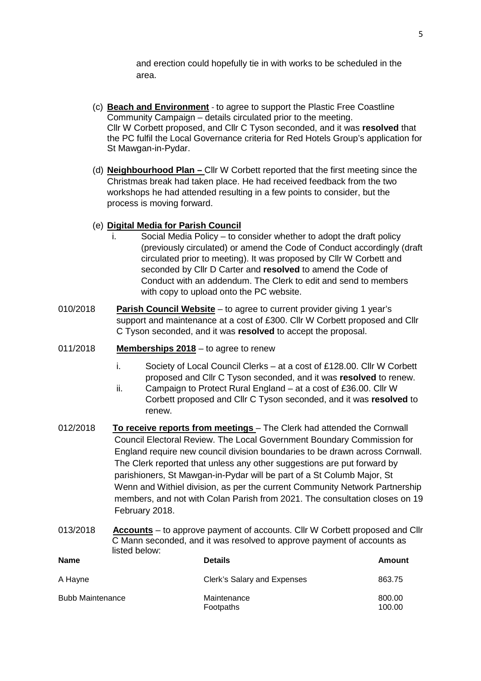and erection could hopefully tie in with works to be scheduled in the area.

- (c) **Beach and Environment** to agree to support the Plastic Free Coastline Community Campaign – details circulated prior to the meeting. Cllr W Corbett proposed, and Cllr C Tyson seconded, and it was **resolved** that the PC fulfil the Local Governance criteria for Red Hotels Group's application for St Mawgan-in-Pydar.
- (d) **Neighbourhood Plan** Cllr W Corbett reported that the first meeting since the Christmas break had taken place. He had received feedback from the two workshops he had attended resulting in a few points to consider, but the process is moving forward.

# (e) **Digital Media for Parish Council**

- i. Social Media Policy to consider whether to adopt the draft policy (previously circulated) or amend the Code of Conduct accordingly (draft circulated prior to meeting). It was proposed by Cllr W Corbett and seconded by Cllr D Carter and **resolved** to amend the Code of Conduct with an addendum. The Clerk to edit and send to members with copy to upload onto the PC website.
- 010/2018 **Parish Council Website** to agree to current provider giving 1 year's support and maintenance at a cost of £300. Cllr W Corbett proposed and Cllr C Tyson seconded, and it was **resolved** to accept the proposal.
- 011/2018 **Memberships 2018** to agree to renew
	- i. Society of Local Council Clerks at a cost of £128.00. Cllr W Corbett proposed and Cllr C Tyson seconded, and it was **resolved** to renew.
	- ii. Campaign to Protect Rural England at a cost of £36.00. Cllr W Corbett proposed and Cllr C Tyson seconded, and it was **resolved** to renew.
- 012/2018 **To receive reports from meetings** The Clerk had attended the Cornwall Council Electoral Review. The Local Government Boundary Commission for England require new council division boundaries to be drawn across Cornwall. The Clerk reported that unless any other suggestions are put forward by parishioners, St Mawgan-in-Pydar will be part of a St Columb Major, St Wenn and Withiel division, as per the current Community Network Partnership members, and not with Colan Parish from 2021. The consultation closes on 19 February 2018.
- 013/2018 **Accounts** to approve payment of accounts. Cllr W Corbett proposed and Cllr C Mann seconded, and it was resolved to approve payment of accounts as listed below:

| <b>Name</b>             | <b>Details</b>              | Amount           |
|-------------------------|-----------------------------|------------------|
| A Hayne                 | Clerk's Salary and Expenses | 863.75           |
| <b>Bubb Maintenance</b> | Maintenance<br>Footpaths    | 800.00<br>100.00 |